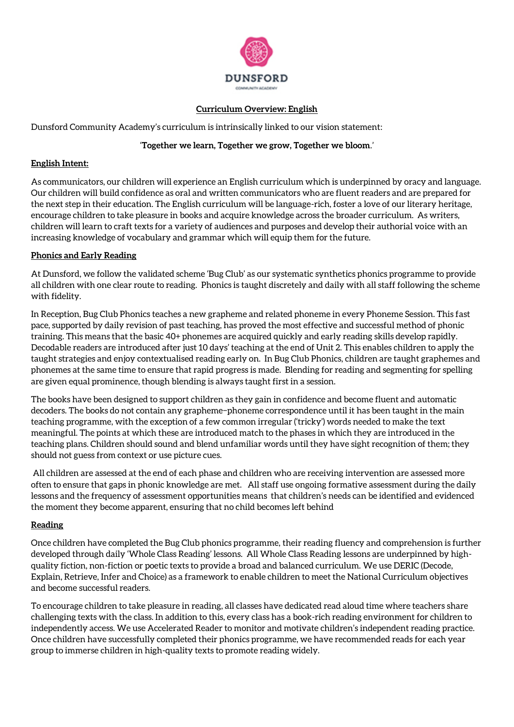

#### **Curriculum Overview: English**

Dunsford Community Academy's curriculum is intrinsically linked to our vision statement:

# '**Together we learn, Together we grow, Together we bloom**.'

### **English Intent:**

As communicators, our children will experience an English curriculum which is underpinned by oracy and language. Our children will build confidence as oral and written communicators who are fluent readers and are prepared for the next step in their education. The English curriculum will be language-rich, foster a love of our literary heritage, encourage children to take pleasure in books and acquire knowledge across the broader curriculum. As writers, children will learn to craft texts for a variety of audiences and purposes and develop their authorial voice with an increasing knowledge of vocabulary and grammar which will equip them for the future.

### **Phonics and Early Reading**

At Dunsford, we follow the validated scheme 'Bug Club' as our systematic synthetics phonics programme to provide all children with one clear route to reading. Phonics is taught discretely and daily with all staff following the scheme with fidelity.

In Reception, Bug Club Phonics teaches a new grapheme and related phoneme in every Phoneme Session. This fast pace, supported by daily revision of past teaching, has proved the most effective and successful method of phonic training. This means that the basic 40+ phonemes are acquired quickly and early reading skills develop rapidly. Decodable readers are introduced after just 10 days' teaching at the end of Unit 2. This enables children to apply the taught strategies and enjoy contextualised reading early on. In Bug Club Phonics, children are taught graphemes and phonemes at the same time to ensure that rapid progress is made. Blending for reading and segmenting for spelling are given equal prominence, though blending is always taught first in a session.

The books have been designed to support children as they gain in confidence and become fluent and automatic decoders. The books do not contain any grapheme−phoneme correspondence until it has been taught in the main teaching programme, with the exception of a few common irregular ('tricky') words needed to make the text meaningful. The points at which these are introduced match to the phases in which they are introduced in the teaching plans. Children should sound and blend unfamiliar words until they have sight recognition of them; they should not guess from context or use picture cues.

All children are assessed at the end of each phase and children who are receiving intervention are assessed more often to ensure that gaps in phonic knowledge are met. All staff use ongoing formative assessment during the daily lessons and the frequency of assessment opportunities means that children's needs can be identified and evidenced the moment they become apparent, ensuring that no child becomes left behind

# **Reading**

Once children have completed the Bug Club phonics programme, their reading fluency and comprehension is further developed through daily 'Whole Class Reading' lessons. All Whole Class Reading lessons are underpinned by highquality fiction, non-fiction or poetic texts to provide a broad and balanced curriculum. We use DERIC (Decode, Explain, Retrieve, Infer and Choice) as a framework to enable children to meet the National Curriculum objectives and become successful readers.

To encourage children to take pleasure in reading, all classes have dedicated read aloud time where teachers share challenging texts with the class. In addition to this, every class has a book-rich reading environment for children to independently access. We use Accelerated Reader to monitor and motivate children's independent reading practice. Once children have successfully completed their phonics programme, we have recommended reads for each year group to immerse children in high-quality texts to promote reading widely.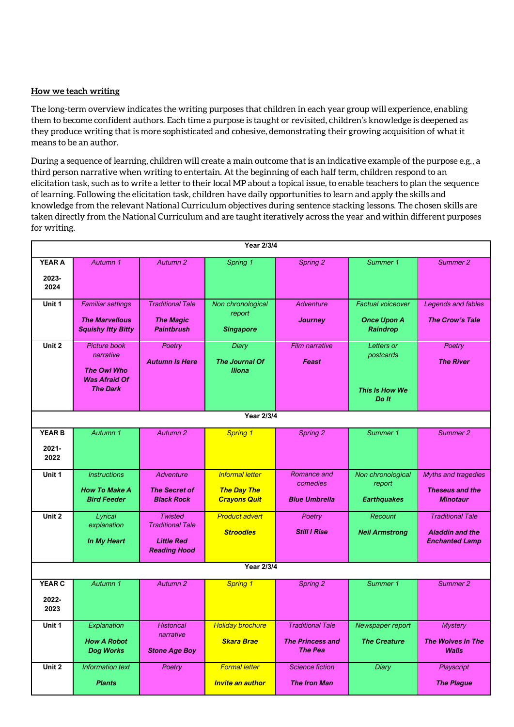#### **How we teach writing**

The long-term overview indicates the writing purposes that children in each year group will experience, enabling them to become confident authors. Each time a purpose is taught or revisited, children's knowledge is deepened as they produce writing that is more sophisticated and cohesive, demonstrating their growing acquisition of what it means to be an author.

During a sequence of learning, children will create a main outcome that is an indicative example of the purpose e.g., a third person narrative when writing to entertain. At the beginning of each half term, children respond to an elicitation task, such as to write a letter to their local MP about a topical issue, to enable teachers to plan the sequence of learning. Following the elicitation task, children have daily opportunities to learn and apply the skills and knowledge from the relevant National Curriculum objectives during sentence stacking lessons. The chosen skills are taken directly from the National Curriculum and are taught iteratively across the year and within different purposes for writing.

| Year 2/3/4                        |                                                                                            |                                                                                       |                                                                     |                                                                      |                                                            |                                                                            |  |  |  |  |
|-----------------------------------|--------------------------------------------------------------------------------------------|---------------------------------------------------------------------------------------|---------------------------------------------------------------------|----------------------------------------------------------------------|------------------------------------------------------------|----------------------------------------------------------------------------|--|--|--|--|
| <b>YEAR A</b><br>2023-<br>2024    | Autumn 1                                                                                   | Autumn 2                                                                              | Spring 1                                                            | Spring 2                                                             | Summer 1                                                   | Summer 2                                                                   |  |  |  |  |
| Unit 1                            | <b>Familiar settings</b><br><b>The Marvellous</b><br><b>Squishy Itty Bitty</b>             | <b>Traditional Tale</b><br><b>The Magic</b><br><b>Paintbrush</b>                      | Non chronological<br>report<br><b>Singapore</b>                     | <b>Adventure</b><br>Journey                                          | <b>Factual voiceover</b><br><b>Once Upon A</b><br>Raindrop | Legends and fables<br><b>The Crow's Tale</b>                               |  |  |  |  |
| Unit 2                            | Picture book<br>narrative<br><b>The Owl Who</b><br><b>Was Afraid Of</b><br><b>The Dark</b> | Poetry<br><b>Autumn Is Here</b>                                                       | <b>Diary</b><br>The Journal Of<br><b>Iliona</b>                     | <b>Film narrative</b><br>Feast                                       | <b>Letters or</b><br>postcards<br>This Is How We<br>Do It  | Poetry<br><b>The River</b>                                                 |  |  |  |  |
|                                   |                                                                                            |                                                                                       | Year 2/3/4                                                          |                                                                      |                                                            |                                                                            |  |  |  |  |
| <b>YEAR B</b><br>$2021 -$<br>2022 | Autumn 1                                                                                   | Autumn 2                                                                              | <b>Spring 1</b>                                                     | Spring 2                                                             | Summer 1                                                   | Summer 2                                                                   |  |  |  |  |
| Unit 1                            | <b>Instructions</b><br><b>How To Make A</b><br><b>Bird Feeder</b>                          | Adventure<br><b>The Secret of</b><br><b>Black Rock</b>                                | <b>Informal letter</b><br><b>The Day The</b><br><b>Crayons Quit</b> | Romance and<br>comedies<br><b>Blue Umbrella</b>                      | Non chronological<br>report<br><b>Earthquakes</b>          | Myths and tragedies<br><b>Theseus and the</b><br><b>Minotaur</b>           |  |  |  |  |
| Unit 2                            | Lyrical<br>explanation<br><b>In My Heart</b>                                               | <b>Twisted</b><br><b>Traditional Tale</b><br><b>Little Red</b><br><b>Reading Hood</b> | <b>Product advert</b><br><b>Stroodles</b>                           | Poetry<br><b>Still I Rise</b>                                        | Recount<br><b>Neil Armstrong</b>                           | <b>Traditional Tale</b><br><b>Aladdin and the</b><br><b>Enchanted Lamp</b> |  |  |  |  |
| Year 2/3/4                        |                                                                                            |                                                                                       |                                                                     |                                                                      |                                                            |                                                                            |  |  |  |  |
| <b>YEAR C</b><br>2022-<br>2023    | Autumn 1                                                                                   | Autumn 2                                                                              | <b>Spring 1</b>                                                     | Spring 2                                                             | Summer 1                                                   | Summer 2                                                                   |  |  |  |  |
| Unit 1                            | Explanation<br><b>How A Robot</b><br><b>Dog Works</b>                                      | <b>Historical</b><br>narrative<br><b>Stone Age Boy</b>                                | <b>Holiday brochure</b><br><b>Skara Brae</b>                        | <b>Traditional Tale</b><br><b>The Princess and</b><br><b>The Pea</b> | Newspaper report<br><b>The Creature</b>                    | <b>Mystery</b><br><b>The Wolves In The</b><br>Walls                        |  |  |  |  |
| Unit 2                            | <b>Information text</b><br><b>Plants</b>                                                   | Poetry                                                                                | <b>Formal letter</b><br>Invite an author                            | <b>Science fiction</b><br><b>The Iron Man</b>                        | <b>Diary</b>                                               | Playscript<br><b>The Plague</b>                                            |  |  |  |  |